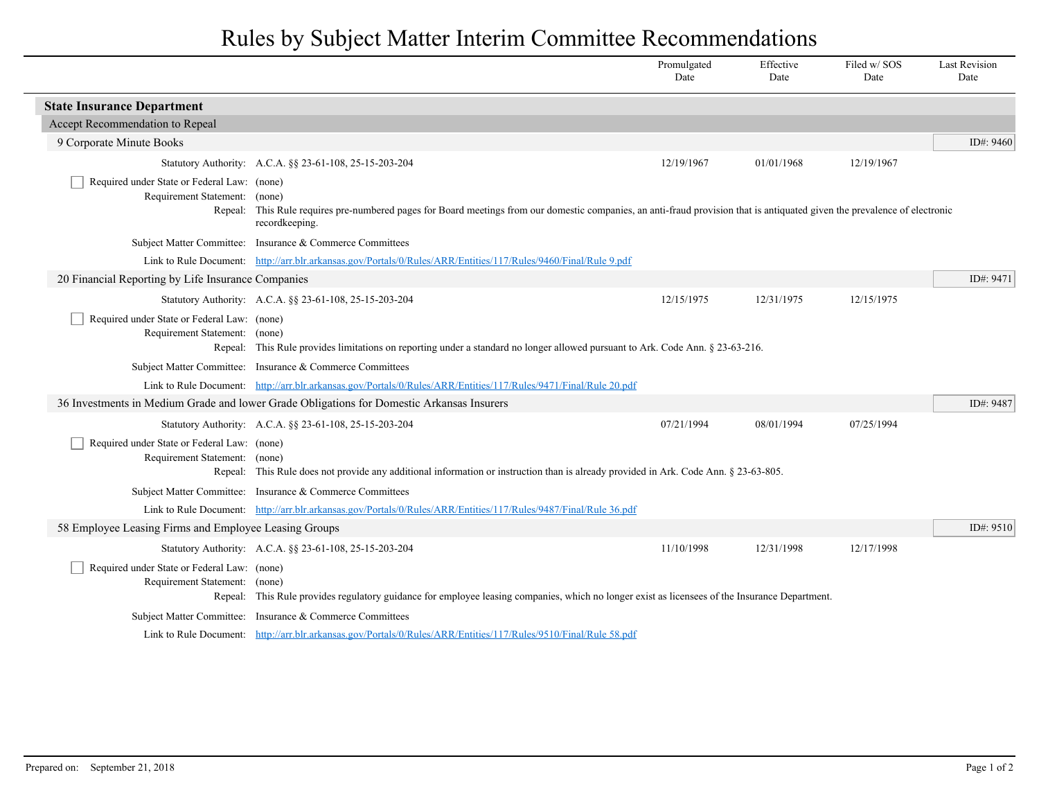## Rules by Subject Matter Interim Committee Recommendations

|                                                                                         |                                                                                                                                                                                       | Promulgated<br>Date | Effective<br>Date | Filed w/SOS<br>Date | <b>Last Revision</b><br>Date |  |  |
|-----------------------------------------------------------------------------------------|---------------------------------------------------------------------------------------------------------------------------------------------------------------------------------------|---------------------|-------------------|---------------------|------------------------------|--|--|
| <b>State Insurance Department</b>                                                       |                                                                                                                                                                                       |                     |                   |                     |                              |  |  |
| Accept Recommendation to Repeal                                                         |                                                                                                                                                                                       |                     |                   |                     |                              |  |  |
| 9 Corporate Minute Books                                                                |                                                                                                                                                                                       |                     |                   |                     | ID#: 9460                    |  |  |
|                                                                                         | Statutory Authority: A.C.A. §§ 23-61-108, 25-15-203-204                                                                                                                               | 12/19/1967          | 01/01/1968        | 12/19/1967          |                              |  |  |
| Required under State or Federal Law: (none)<br>Requirement Statement: (none)<br>Repeal: | This Rule requires pre-numbered pages for Board meetings from our domestic companies, an anti-fraud provision that is antiquated given the prevalence of electronic<br>recordkeeping. |                     |                   |                     |                              |  |  |
|                                                                                         | Subject Matter Committee: Insurance & Commerce Committees                                                                                                                             |                     |                   |                     |                              |  |  |
|                                                                                         | Link to Rule Document: http://arr.blr.arkansas.gov/Portals/0/Rules/ARR/Entities/117/Rules/9460/Final/Rule 9.pdf                                                                       |                     |                   |                     |                              |  |  |
| 20 Financial Reporting by Life Insurance Companies                                      |                                                                                                                                                                                       |                     |                   |                     | ID#: 9471                    |  |  |
|                                                                                         | Statutory Authority: A.C.A. §§ 23-61-108, 25-15-203-204                                                                                                                               | 12/15/1975          | 12/31/1975        | 12/15/1975          |                              |  |  |
| Required under State or Federal Law: (none)<br>Requirement Statement: (none)            | Repeal: This Rule provides limitations on reporting under a standard no longer allowed pursuant to Ark. Code Ann. § 23-63-216.                                                        |                     |                   |                     |                              |  |  |
|                                                                                         | Subject Matter Committee: Insurance & Commerce Committees                                                                                                                             |                     |                   |                     |                              |  |  |
|                                                                                         | Link to Rule Document: http://arr.blr.arkansas.gov/Portals/0/Rules/ARR/Entities/117/Rules/9471/Final/Rule 20.pdf                                                                      |                     |                   |                     |                              |  |  |
|                                                                                         | 36 Investments in Medium Grade and lower Grade Obligations for Domestic Arkansas Insurers                                                                                             |                     |                   |                     | ID#: 9487                    |  |  |
|                                                                                         | Statutory Authority: A.C.A. §§ 23-61-108, 25-15-203-204                                                                                                                               | 07/21/1994          | 08/01/1994        | 07/25/1994          |                              |  |  |
| Required under State or Federal Law: (none)<br>Requirement Statement: (none)            | Repeal: This Rule does not provide any additional information or instruction than is already provided in Ark. Code Ann. § 23-63-805.                                                  |                     |                   |                     |                              |  |  |
|                                                                                         | Subject Matter Committee: Insurance & Commerce Committees                                                                                                                             |                     |                   |                     |                              |  |  |
|                                                                                         | Link to Rule Document: http://arr.blr.arkansas.gov/Portals/0/Rules/ARR/Entities/117/Rules/9487/Final/Rule 36.pdf                                                                      |                     |                   |                     |                              |  |  |
| 58 Employee Leasing Firms and Employee Leasing Groups                                   |                                                                                                                                                                                       |                     |                   |                     | ID#: 9510                    |  |  |
|                                                                                         | Statutory Authority: A.C.A. §§ 23-61-108, 25-15-203-204                                                                                                                               | 11/10/1998          | 12/31/1998        | 12/17/1998          |                              |  |  |
| Required under State or Federal Law: (none)<br>Requirement Statement: (none)            | Repeal: This Rule provides regulatory guidance for employee leasing companies, which no longer exist as licensees of the Insurance Department.                                        |                     |                   |                     |                              |  |  |
|                                                                                         | Subject Matter Committee: Insurance & Commerce Committees                                                                                                                             |                     |                   |                     |                              |  |  |
|                                                                                         | Link to Rule Document: http://arr.blr.arkansas.gov/Portals/0/Rules/ARR/Entities/117/Rules/9510/Final/Rule 58.pdf                                                                      |                     |                   |                     |                              |  |  |